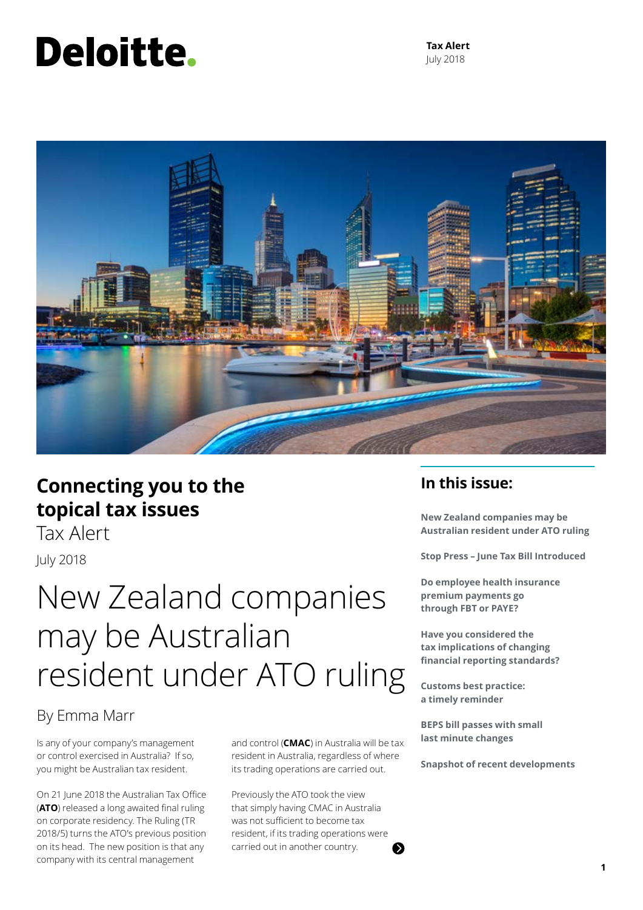# Deloitte.

**Tax Alert** July 2018



### **Connecting you to the topical tax issues**

Tax AlertJuly 2018

## New Zealand companies may be Australian resident under ATO ruling

### By Emma Marr

Is any of your company's management or control exercised in Australia? If so, you might be Australian tax resident.

On 21 June 2018 the Australian Tax Office (**ATO**) released a long awaited final ruling on corporate residency. The Ruling (TR 2018/5) turns the ATO's previous position on its head. The new position is that any company with its central management

and control (**CMAC**) in Australia will be tax resident in Australia, regardless of where its trading operations are carried out.

Previously the ATO took the view that simply having CMAC in Australia was not sufficient to become tax resident, if its trading operations were carried out in another country.

### **In this issue:**

**New Zealand companies may be Australian resident under ATO ruling**

**Stop Press – June Tax Bill Introduced**

**Do employee health insurance premium payments go through FBT or PAYE?**

**Have you considered the tax implications of changing financial reporting standards?**

**Customs best practice: a timely reminder**

**BEPS bill passes with small last minute changes**

**Snapshot of recent developments**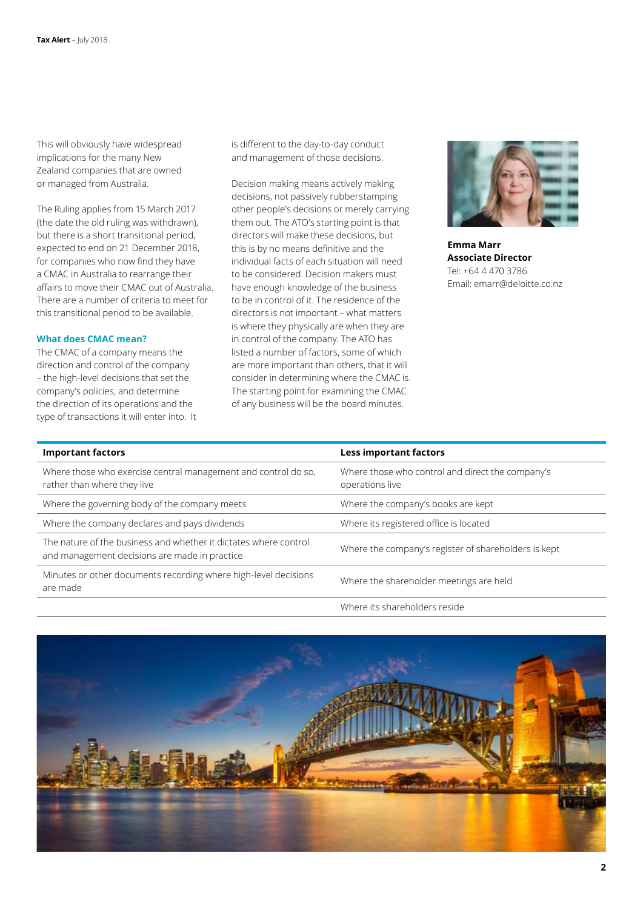This will obviously have widespread implications for the many New Zealand companies that are owned or managed from Australia.

The Ruling applies from 15 March 2017 (the date the old ruling was withdrawn), but there is a short transitional period, expected to end on 21 December 2018, for companies who now find they have a CMAC in Australia to rearrange their affairs to move their CMAC out of Australia. There are a number of criteria to meet for this transitional period to be available.

#### **What does CMAC mean?**

The CMAC of a company means the direction and control of the company – the high-level decisions that set the company's policies, and determine the direction of its operations and the type of transactions it will enter into. It is different to the day-to-day conduct and management of those decisions.

Decision making means actively making decisions, not passively rubberstamping other people's decisions or merely carrying them out. The ATO's starting point is that directors will make these decisions, but this is by no means definitive and the individual facts of each situation will need to be considered. Decision makers must have enough knowledge of the business to be in control of it. The residence of the directors is not important – what matters is where they physically are when they are in control of the company. The ATO has listed a number of factors, some of which are more important than others, that it will consider in determining where the CMAC is. The starting point for examining the CMAC of any business will be the board minutes.



**Emma Marr Associate Director** Tel: +64 4 470 3786 Email: emarr@deloitte.co.nz

| <b>Important factors</b>                                                                                          | <b>Less important factors</b>                                       |
|-------------------------------------------------------------------------------------------------------------------|---------------------------------------------------------------------|
| Where those who exercise central management and control do so,<br>rather than where they live                     | Where those who control and direct the company's<br>operations live |
| Where the governing body of the company meets                                                                     | Where the company's books are kept                                  |
| Where the company declares and pays dividends                                                                     | Where its registered office is located                              |
| The nature of the business and whether it dictates where control<br>and management decisions are made in practice | Where the company's register of shareholders is kept                |
| Minutes or other documents recording where high-level decisions<br>are made                                       | Where the shareholder meetings are held                             |
|                                                                                                                   | Where its shareholders reside                                       |

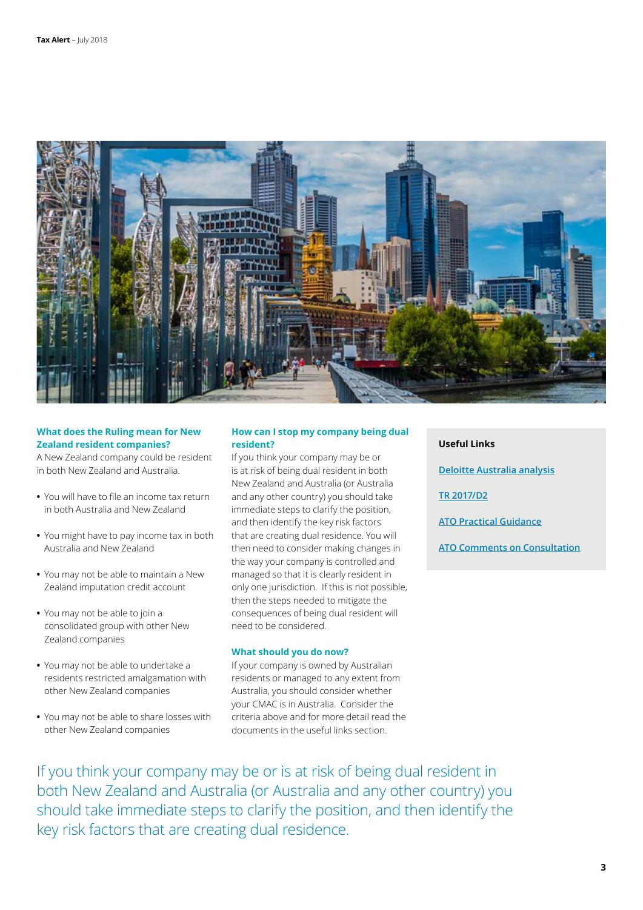

#### **What does the Ruling mean for New Zealand resident companies?**

A New Zealand company could be resident in both New Zealand and Australia.

- **•** You will have to file an income tax return in both Australia and New Zealand
- **•** You might have to pay income tax in both Australia and New Zealand
- **•** You may not be able to maintain a New Zealand imputation credit account
- **•** You may not be able to join a consolidated group with other New Zealand companies
- **•** You may not be able to undertake a residents restricted amalgamation with other New Zealand companies
- **•** You may not be able to share losses with other New Zealand companies

#### **How can I stop my company being dual resident?**

If you think your company may be or is at risk of being dual resident in both New Zealand and Australia (or Australia and any other country) you should take immediate steps to clarify the position, and then identify the key risk factors that are creating dual residence. You will then need to consider making changes in the way your company is controlled and managed so that it is clearly resident in only one jurisdiction. If this is not possible, then the steps needed to mitigate the consequences of being dual resident will need to be considered.

#### **What should you do now?**

If your company is owned by Australian residents or managed to any extent from Australia, you should consider whether your CMAC is in Australia. Consider the criteria above and for more detail read the documents in the useful links section.

| <b>Useful Links</b>                 |
|-------------------------------------|
| Deloitte Australia analysis         |
| <b>TR 2017/D2</b>                   |
| <b>ATO Practical Guidance</b>       |
| <b>ATO Comments on Consultation</b> |

If you think your company may be or is at risk of being dual resident in both New Zealand and Australia (or Australia and any other country) you should take immediate steps to clarify the position, and then identify the key risk factors that are creating dual residence.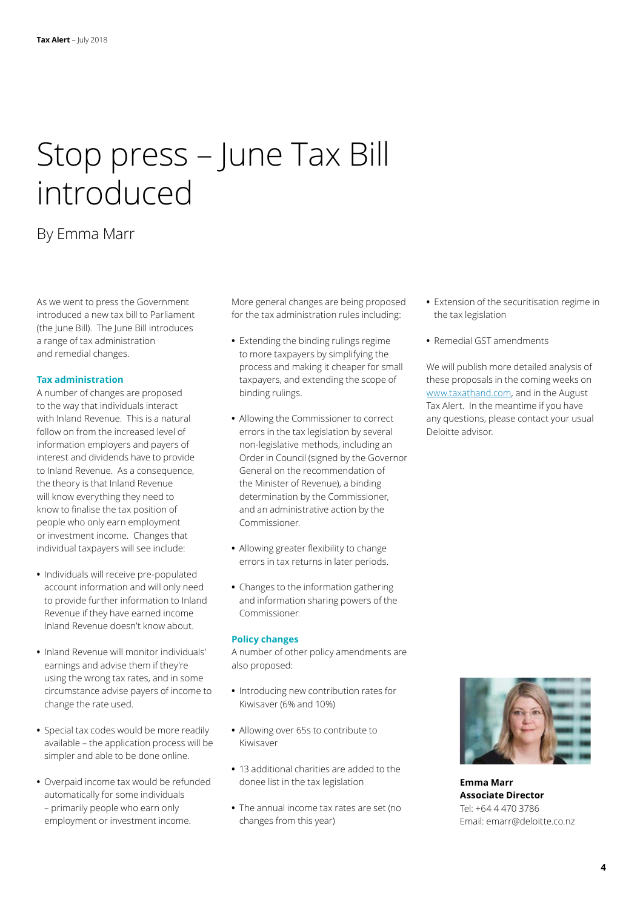## Stop press – June Tax Bill introduced

### By Emma Marr

As we went to press the Government introduced a new tax bill to Parliament (the June Bill). The June Bill introduces a range of tax administration and remedial changes.

#### **Tax administration**

A number of changes are proposed to the way that individuals interact with Inland Revenue. This is a natural follow on from the increased level of information employers and payers of interest and dividends have to provide to Inland Revenue. As a consequence, the theory is that Inland Revenue will know everything they need to know to finalise the tax position of people who only earn employment or investment income. Changes that individual taxpayers will see include:

- **•** Individuals will receive pre-populated account information and will only need to provide further information to Inland Revenue if they have earned income Inland Revenue doesn't know about.
- **•** Inland Revenue will monitor individuals' earnings and advise them if they're using the wrong tax rates, and in some circumstance advise payers of income to change the rate used.
- **•** Special tax codes would be more readily available – the application process will be simpler and able to be done online.
- **•** Overpaid income tax would be refunded automatically for some individuals – primarily people who earn only employment or investment income.

More general changes are being proposed for the tax administration rules including:

- **•** Extending the binding rulings regime to more taxpayers by simplifying the process and making it cheaper for small taxpayers, and extending the scope of binding rulings.
- **•** Allowing the Commissioner to correct errors in the tax legislation by several non-legislative methods, including an Order in Council (signed by the Governor General on the recommendation of the Minister of Revenue), a binding determination by the Commissioner, and an administrative action by the Commissioner.
- **•** Allowing greater flexibility to change errors in tax returns in later periods.
- **•** Changes to the information gathering and information sharing powers of the Commissioner.

#### **Policy changes**

A number of other policy amendments are also proposed:

- **•** Introducing new contribution rates for Kiwisaver (6% and 10%)
- **•** Allowing over 65s to contribute to Kiwisaver
- **•** 13 additional charities are added to the donee list in the tax legislation
- **•** The annual income tax rates are set (no changes from this year)
- **•** Extension of the securitisation regime in the tax legislation
- **•** Remedial GST amendments

We will publish more detailed analysis of these proposals in the coming weeks on [www.taxathand.com,](http://www.taxathand.com) and in the August Tax Alert. In the meantime if you have any questions, please contact your usual Deloitte advisor.



**Emma Marr Associate Director** Tel: +64 4 470 3786 Email: emarr@deloitte.co.nz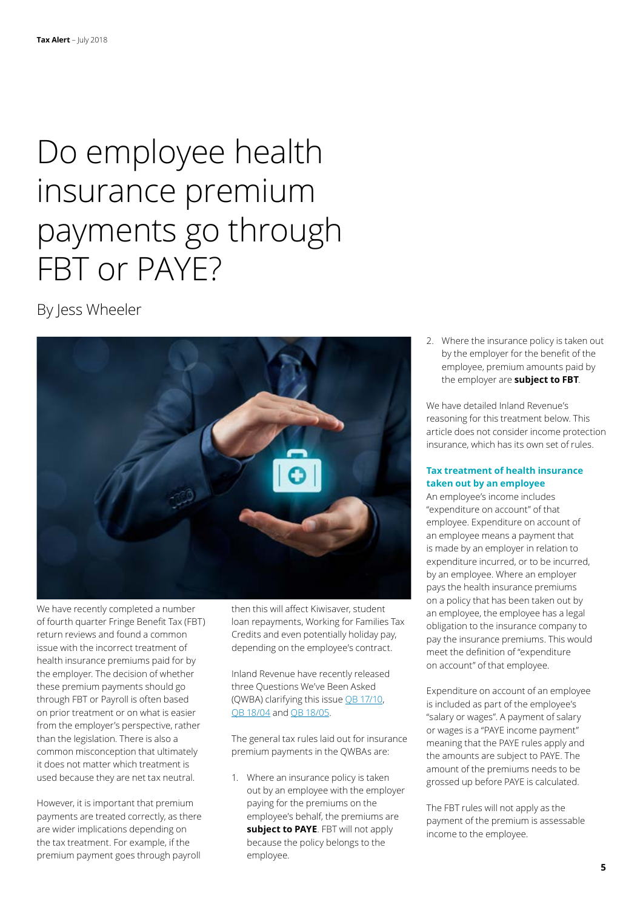## Do employee health insurance premium payments go through FBT or PAYE?

By Jess Wheeler



We have recently completed a number of fourth quarter Fringe Benefit Tax (FBT) return reviews and found a common issue with the incorrect treatment of health insurance premiums paid for by the employer. The decision of whether these premium payments should go through FBT or Payroll is often based on prior treatment or on what is easier from the employer's perspective, rather than the legislation. There is also a common misconception that ultimately it does not matter which treatment is used because they are net tax neutral.

However, it is important that premium payments are treated correctly, as there are wider implications depending on the tax treatment. For example, if the premium payment goes through payroll

then this will affect Kiwisaver, student loan repayments, Working for Families Tax Credits and even potentially holiday pay, depending on the employee's contract.

Inland Revenue have recently released three Questions We've Been Asked (QWBA) clarifying this issue [QB 17/10](http://www.ird.govt.nz/technical-tax/questions/questions-general/qwba-1710-inc-fbt-group-insurance.html), [QB 18/04](http://www.ird.govt.nz/technical-tax/questions/questions-general/qwba-1804-emplr-pay-emplyee-sick-policy.html) and [QB 18/05](http://www.ird.govt.nz/technical-tax/questions/questions-general/qwba-1805-emplr-benefit-emplyee-sick-policy.html).

The general tax rules laid out for insurance premium payments in the QWBAs are:

1. Where an insurance policy is taken out by an employee with the employer paying for the premiums on the employee's behalf, the premiums are **subject to PAYE**. FBT will not apply because the policy belongs to the employee.

2. Where the insurance policy is taken out by the employer for the benefit of the employee, premium amounts paid by the employer are **subject to FBT**.

We have detailed Inland Revenue's reasoning for this treatment below. This article does not consider income protection insurance, which has its own set of rules.

#### **Tax treatment of health insurance taken out by an employee**

An employee's income includes "expenditure on account" of that employee. Expenditure on account of an employee means a payment that is made by an employer in relation to expenditure incurred, or to be incurred, by an employee. Where an employer pays the health insurance premiums on a policy that has been taken out by an employee, the employee has a legal obligation to the insurance company to pay the insurance premiums. This would meet the definition of "expenditure on account" of that employee.

Expenditure on account of an employee is included as part of the employee's "salary or wages". A payment of salary or wages is a "PAYE income payment" meaning that the PAYE rules apply and the amounts are subject to PAYE. The amount of the premiums needs to be grossed up before PAYE is calculated.

The FBT rules will not apply as the payment of the premium is assessable income to the employee.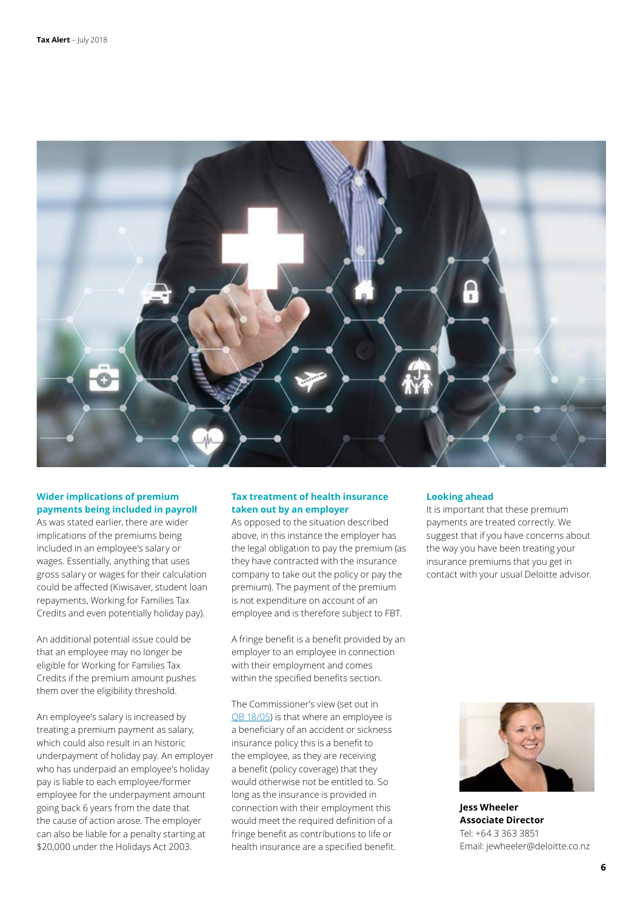

### **Wider implications of premium payments being included in payroll**

As was stated earlier, there are wider implications of the premiums being included in an employee's salary or wages. Essentially, anything that uses gross salary or wages for their calculation could be affected (Kiwisaver, student loan repayments, Working for Families Tax Credits and even potentially holiday pay).

An additional potential issue could be that an employee may no longer be eligible for Working for Families Tax Credits if the premium amount pushes them over the eligibility threshold.

An employee's salary is increased by treating a premium payment as salary, which could also result in an historic underpayment of holiday pay. An employer who has underpaid an employee's holiday pay is liable to each employee/former employee for the underpayment amount going back 6 years from the date that the cause of action arose. The employer can also be liable for a penalty starting at \$20,000 under the Holidays Act 2003.

#### **Tax treatment of health insurance taken out by an employer**

As opposed to the situation described above, in this instance the employer has the legal obligation to pay the premium (as they have contracted with the insurance company to take out the policy or pay the premium). The payment of the premium is not expenditure on account of an employee and is therefore subject to FBT.

A fringe benefit is a benefit provided by an employer to an employee in connection with their employment and comes within the specified benefits section.

The Commissioner's view (set out in [QB 18/05](http://www.ird.govt.nz/technical-tax/questions/questions-general/qwba-1805-emplr-benefit-emplyee-sick-policy.html)) is that where an employee is a beneficiary of an accident or sickness insurance policy this is a benefit to the employee, as they are receiving a benefit (policy coverage) that they would otherwise not be entitled to. So long as the insurance is provided in connection with their employment this would meet the required definition of a fringe benefit as contributions to life or health insurance are a specified benefit.

#### **Looking ahead**

It is important that these premium payments are treated correctly. We suggest that if you have concerns about the way you have been treating your insurance premiums that you get in contact with your usual Deloitte advisor.



**Jess Wheeler Associate Director** Tel: +64 3 363 3851 Email: jewheeler@deloitte.co.nz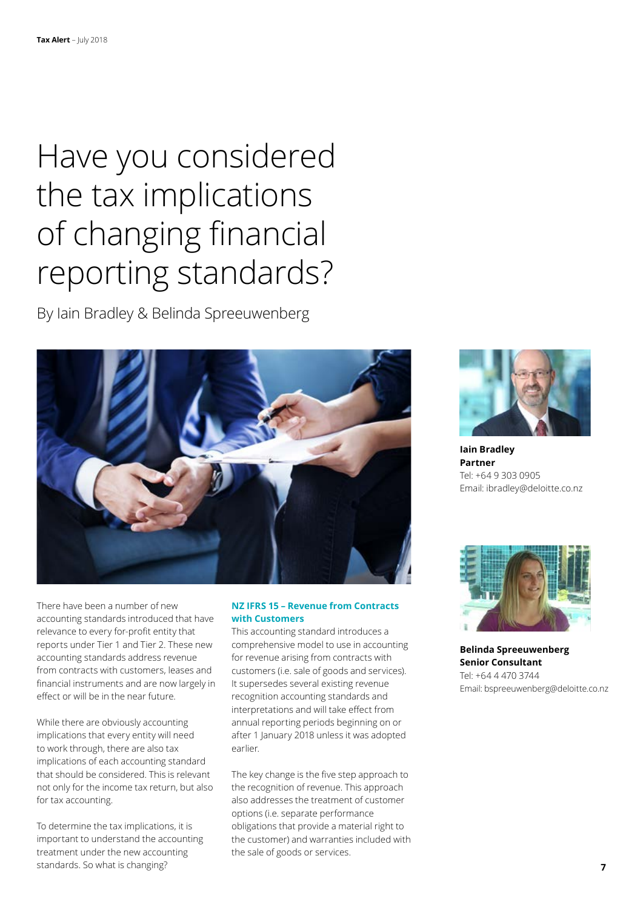## Have you considered the tax implications of changing financial reporting standards?

By Iain Bradley & Belinda Spreeuwenberg



There have been a number of new accounting standards introduced that have relevance to every for-profit entity that reports under Tier 1 and Tier 2. These new accounting standards address revenue from contracts with customers, leases and financial instruments and are now largely in effect or will be in the near future.

While there are obviously accounting implications that every entity will need to work through, there are also tax implications of each accounting standard that should be considered. This is relevant not only for the income tax return, but also for tax accounting.

To determine the tax implications, it is important to understand the accounting treatment under the new accounting standards. So what is changing?

#### **NZ IFRS 15 – Revenue from Contracts with Customers**

This accounting standard introduces a comprehensive model to use in accounting for revenue arising from contracts with customers (i.e. sale of goods and services). It supersedes several existing revenue recognition accounting standards and interpretations and will take effect from annual reporting periods beginning on or after 1 January 2018 unless it was adopted earlier.

The key change is the five step approach to the recognition of revenue. This approach also addresses the treatment of customer options (i.e. separate performance obligations that provide a material right to the customer) and warranties included with the sale of goods or services.



**Iain Bradley Partner** Tel: +64 9 303 0905 Email: ibradley@deloitte.co.nz



**Belinda Spreeuwenberg Senior Consultant** Tel: +64 4 470 3744 Email: bspreeuwenberg@deloitte.co.nz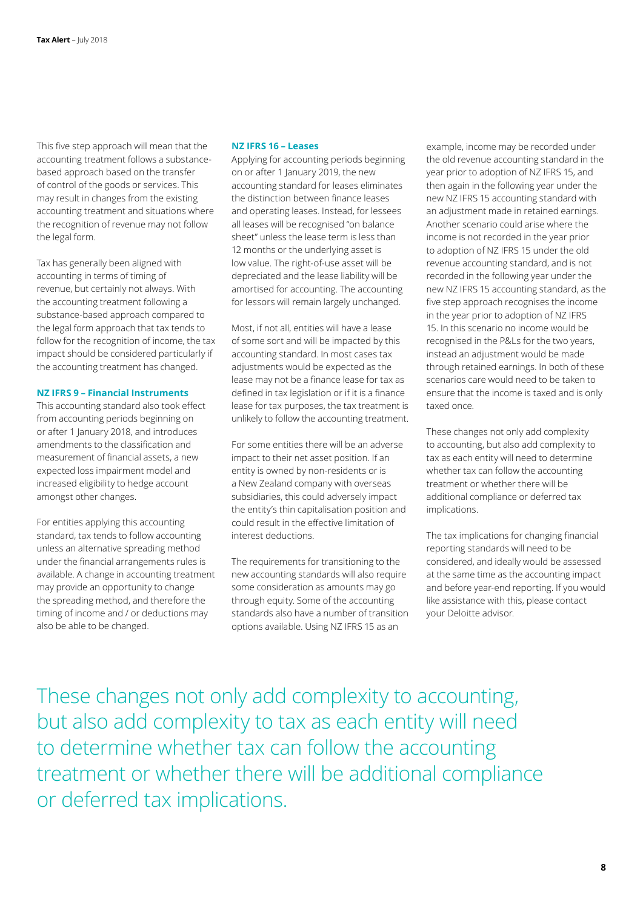This five step approach will mean that the accounting treatment follows a substancebased approach based on the transfer of control of the goods or services. This may result in changes from the existing accounting treatment and situations where the recognition of revenue may not follow the legal form.

Tax has generally been aligned with accounting in terms of timing of revenue, but certainly not always. With the accounting treatment following a substance-based approach compared to the legal form approach that tax tends to follow for the recognition of income, the tax impact should be considered particularly if the accounting treatment has changed.

#### **NZ IFRS 9 – Financial Instruments**

This accounting standard also took effect from accounting periods beginning on or after 1 January 2018, and introduces amendments to the classification and measurement of financial assets, a new expected loss impairment model and increased eligibility to hedge account amongst other changes.

For entities applying this accounting standard, tax tends to follow accounting unless an alternative spreading method under the financial arrangements rules is available. A change in accounting treatment may provide an opportunity to change the spreading method, and therefore the timing of income and / or deductions may also be able to be changed.

#### **NZ IFRS 16 – Leases**

Applying for accounting periods beginning on or after 1 January 2019, the new accounting standard for leases eliminates the distinction between finance leases and operating leases. Instead, for lessees all leases will be recognised "on balance sheet" unless the lease term is less than 12 months or the underlying asset is low value. The right-of-use asset will be depreciated and the lease liability will be amortised for accounting. The accounting for lessors will remain largely unchanged.

Most, if not all, entities will have a lease of some sort and will be impacted by this accounting standard. In most cases tax adjustments would be expected as the lease may not be a finance lease for tax as defined in tax legislation or if it is a finance lease for tax purposes, the tax treatment is unlikely to follow the accounting treatment.

For some entities there will be an adverse impact to their net asset position. If an entity is owned by non-residents or is a New Zealand company with overseas subsidiaries, this could adversely impact the entity's thin capitalisation position and could result in the effective limitation of interest deductions.

The requirements for transitioning to the new accounting standards will also require some consideration as amounts may go through equity. Some of the accounting standards also have a number of transition options available. Using NZ IFRS 15 as an

example, income may be recorded under the old revenue accounting standard in the year prior to adoption of NZ IFRS 15, and then again in the following year under the new NZ IFRS 15 accounting standard with an adjustment made in retained earnings. Another scenario could arise where the income is not recorded in the year prior to adoption of NZ IFRS 15 under the old revenue accounting standard, and is not recorded in the following year under the new NZ IFRS 15 accounting standard, as the five step approach recognises the income in the year prior to adoption of NZ IFRS 15. In this scenario no income would be recognised in the P&Ls for the two years, instead an adjustment would be made through retained earnings. In both of these scenarios care would need to be taken to ensure that the income is taxed and is only taxed once.

These changes not only add complexity to accounting, but also add complexity to tax as each entity will need to determine whether tax can follow the accounting treatment or whether there will be additional compliance or deferred tax implications.

The tax implications for changing financial reporting standards will need to be considered, and ideally would be assessed at the same time as the accounting impact and before year-end reporting. If you would like assistance with this, please contact your Deloitte advisor.

These changes not only add complexity to accounting, but also add complexity to tax as each entity will need to determine whether tax can follow the accounting treatment or whether there will be additional compliance or deferred tax implications.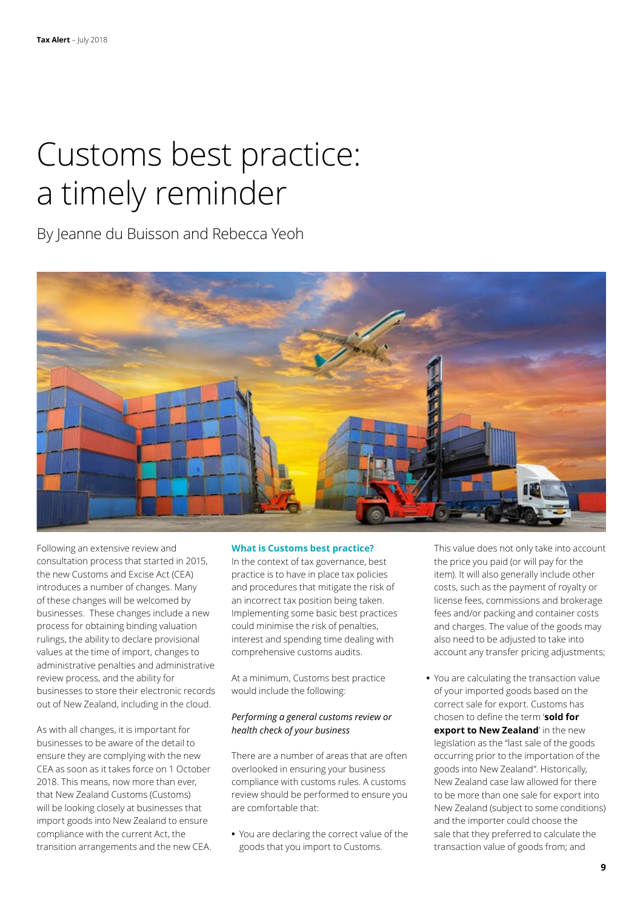## Customs best practice: a timely reminder

By Jeanne du Buisson and Rebecca Yeoh



Following an extensive review and consultation process that started in 2015, the new Customs and Excise Act (CEA) introduces a number of changes. Many of these changes will be welcomed by businesses. These changes include a new process for obtaining binding valuation rulings, the ability to declare provisional values at the time of import, changes to administrative penalties and administrative review process, and the ability for businesses to store their electronic records out of New Zealand, including in the cloud.

As with all changes, it is important for businesses to be aware of the detail to ensure they are complying with the new CEA as soon as it takes force on 1 October 2018. This means, now more than ever, that New Zealand Customs (Customs) will be looking closely at businesses that import goods into New Zealand to ensure compliance with the current Act, the transition arrangements and the new CEA.

#### **What is Customs best practice?**

In the context of tax governance, best practice is to have in place tax policies and procedures that mitigate the risk of an incorrect tax position being taken. Implementing some basic best practices could minimise the risk of penalties, interest and spending time dealing with comprehensive customs audits.

At a minimum, Customs best practice would include the following:

#### *Performing a general customs review or health check of your business*

There are a number of areas that are often overlooked in ensuring your business compliance with customs rules. A customs review should be performed to ensure you are comfortable that:

**•** You are declaring the correct value of the goods that you import to Customs.

This value does not only take into account the price you paid (or will pay for the item). It will also generally include other costs, such as the payment of royalty or license fees, commissions and brokerage fees and/or packing and container costs and charges. The value of the goods may also need to be adjusted to take into account any transfer pricing adjustments;

**•** You are calculating the transaction value of your imported goods based on the correct sale for export. Customs has chosen to define the term '**sold for export to New Zealand**' in the new legislation as the "last sale of the goods occurring prior to the importation of the goods into New Zealand". Historically, New Zealand case law allowed for there to be more than one sale for export into New Zealand (subject to some conditions) and the importer could choose the sale that they preferred to calculate the transaction value of goods from; and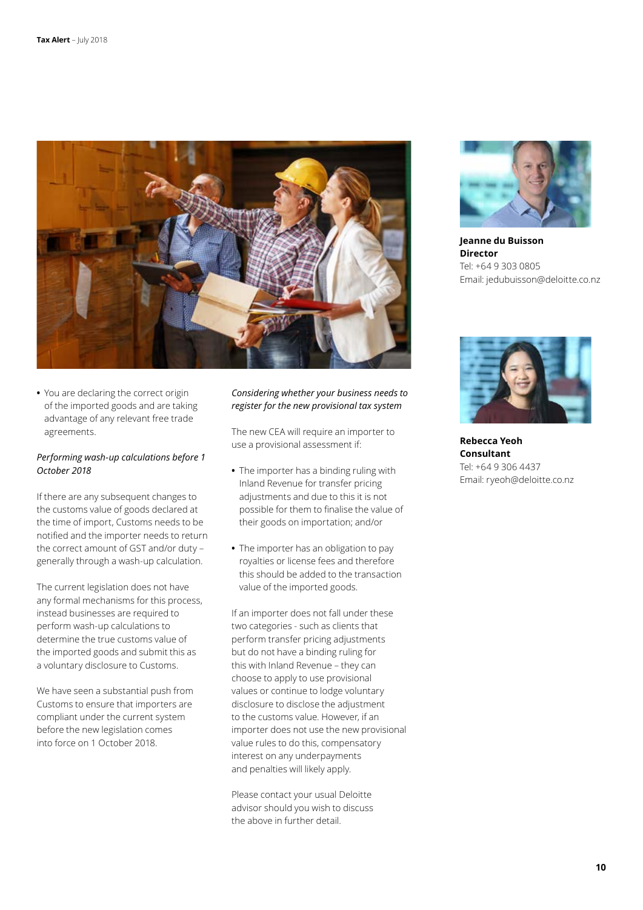

**•** You are declaring the correct origin of the imported goods and are taking advantage of any relevant free trade agreements.

#### *Performing wash-up calculations before 1 October 2018*

If there are any subsequent changes to the customs value of goods declared at the time of import, Customs needs to be notified and the importer needs to return the correct amount of GST and/or duty – generally through a wash-up calculation.

The current legislation does not have any formal mechanisms for this process, instead businesses are required to perform wash-up calculations to determine the true customs value of the imported goods and submit this as a voluntary disclosure to Customs.

We have seen a substantial push from Customs to ensure that importers are compliant under the current system before the new legislation comes into force on 1 October 2018.

#### *Considering whether your business needs to register for the new provisional tax system*

The new CEA will require an importer to use a provisional assessment if:

- **•** The importer has a binding ruling with Inland Revenue for transfer pricing adjustments and due to this it is not possible for them to finalise the value of their goods on importation; and/or
- **•** The importer has an obligation to pay royalties or license fees and therefore this should be added to the transaction value of the imported goods.

If an importer does not fall under these two categories - such as clients that perform transfer pricing adjustments but do not have a binding ruling for this with Inland Revenue – they can choose to apply to use provisional values or continue to lodge voluntary disclosure to disclose the adjustment to the customs value. However, if an importer does not use the new provisional value rules to do this, compensatory interest on any underpayments and penalties will likely apply.

Please contact your usual Deloitte advisor should you wish to discuss the above in further detail.



**Jeanne du Buisson Director** Tel: +64 9 303 0805 Email: jedubuisson@deloitte.co.nz



**Rebecca Yeoh Consultant** Tel: +64 9 306 4437 Email: ryeoh@deloitte.co.nz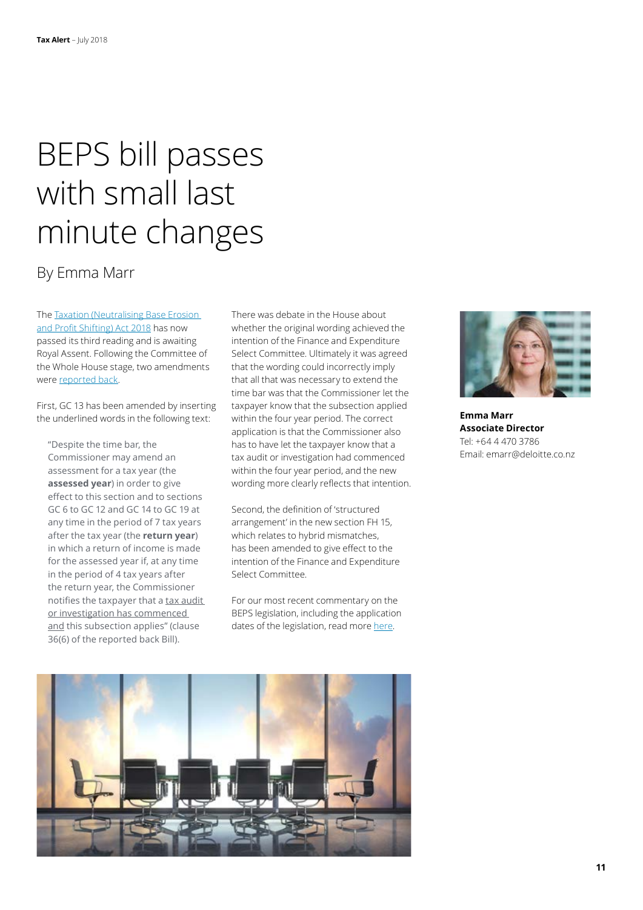## BEPS bill passes with small last minute changes

### By Emma Marr

The [Taxation \(Neutralising Base Erosion](http://www.legislation.govt.nz/act/public/2018/0016/latest/DLM7505806.html)  [and Profit Shifting\) Act 2018](http://www.legislation.govt.nz/act/public/2018/0016/latest/DLM7505806.html) has now passed its third reading and is awaiting Royal Assent. Following the Committee of the Whole House stage, two amendments were [reported back](http://www.legislation.govt.nz/bill/government/2017/0003/latest/versions.aspx).

First, GC 13 has been amended by inserting the underlined words in the following text:

"Despite the time bar, the Commissioner may amend an assessment for a tax year (the **assessed year**) in order to give effect to this section and to sections GC 6 to GC 12 and GC 14 to GC 19 at any time in the period of 7 tax years after the tax year (the **return year**) in which a return of income is made for the assessed year if, at any time in the period of 4 tax years after the return year, the Commissioner notifies the taxpayer that a tax audit or investigation has commenced and this subsection applies" (clause 36(6) of the reported back Bill).

There was debate in the House about whether the original wording achieved the intention of the Finance and Expenditure Select Committee. Ultimately it was agreed that the wording could incorrectly imply that all that was necessary to extend the time bar was that the Commissioner let the taxpayer know that the subsection applied within the four year period. The correct application is that the Commissioner also has to have let the taxpayer know that a tax audit or investigation had commenced within the four year period, and the new wording more clearly reflects that intention.

Second, the definition of 'structured arrangement' in the new section FH 15, which relates to hybrid mismatches, has been amended to give effect to the intention of the Finance and Expenditure Select Committee.

For our most recent commentary on the BEPS legislation, including the application dates of the legislation, read more [here.](https://www2.deloitte.com/nz/en/pages/tax-alerts/articles/parliament-reports-back-beps-changes.html)





**Emma Marr Associate Director** Tel: +64 4 470 3786 Email: emarr@deloitte.co.nz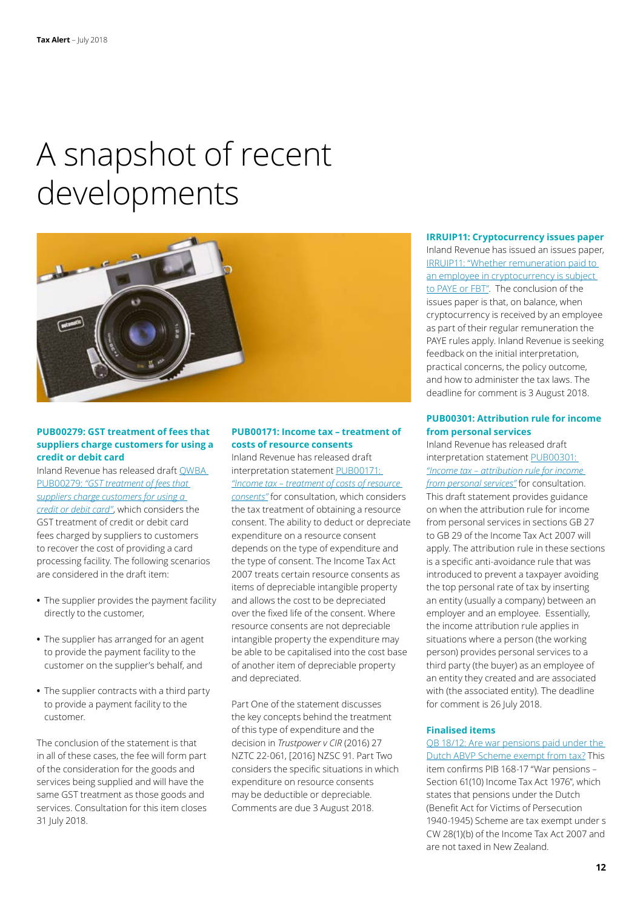## A snapshot of recent developments



#### **PUB00279: GST treatment of fees that suppliers charge customers for using a credit or debit card**

Inland Revenue has released draft [QWBA](http://www.ird.govt.nz/public-consultation/current/public-consultation-pub00279.html)  PUB00279: *["GST treatment of fees that](http://www.ird.govt.nz/public-consultation/current/public-consultation-pub00279.html)  [suppliers charge customers for using a](http://www.ird.govt.nz/public-consultation/current/public-consultation-pub00279.html)  [credit or debit card"](http://www.ird.govt.nz/public-consultation/current/public-consultation-pub00279.html)*, which considers the GST treatment of credit or debit card fees charged by suppliers to customers to recover the cost of providing a card processing facility. The following scenarios are considered in the draft item:

- **•** The supplier provides the payment facility directly to the customer,
- **•** The supplier has arranged for an agent to provide the payment facility to the customer on the supplier's behalf, and
- **•** The supplier contracts with a third party to provide a payment facility to the customer.

The conclusion of the statement is that in all of these cases, the fee will form part of the consideration for the goods and services being supplied and will have the same GST treatment as those goods and services. Consultation for this item closes 31 July 2018.

#### **PUB00171: Income tax – treatment of costs of resource consents**

Inland Revenue has released draft interpretation statement [PUB00171:](http://www.ird.govt.nz/public-consultation/current/public-consultation-pub00171.html)  *["Income tax – treatment of costs of resource](http://www.ird.govt.nz/public-consultation/current/public-consultation-pub00171.html)  [consents"](http://www.ird.govt.nz/public-consultation/current/public-consultation-pub00171.html)* for consultation, which considers the tax treatment of obtaining a resource consent. The ability to deduct or depreciate expenditure on a resource consent depends on the type of expenditure and the type of consent. The Income Tax Act 2007 treats certain resource consents as items of depreciable intangible property and allows the cost to be depreciated over the fixed life of the consent. Where resource consents are not depreciable intangible property the expenditure may be able to be capitalised into the cost base of another item of depreciable property and depreciated.

Part One of the statement discusses the key concepts behind the treatment of this type of expenditure and the decision in *Trustpower v CIR* (2016) 27 NZTC 22-061, [2016] NZSC 91. Part Two considers the specific situations in which expenditure on resource consents may be deductible or depreciable. Comments are due 3 August 2018.

#### **IRRUIP11: Cryptocurrency issues paper**

Inland Revenue has issued an issues paper, [IRRUIP11: "Whether remuneration paid to](http://www.ird.govt.nz/resources/9/b/9be098bb-7db4-40b6-84c3-0bbb0b5b8885/irruip11.pdf)  [an employee in cryptocurrency is subject](http://www.ird.govt.nz/resources/9/b/9be098bb-7db4-40b6-84c3-0bbb0b5b8885/irruip11.pdf)  [to PAYE or FBT".](http://www.ird.govt.nz/resources/9/b/9be098bb-7db4-40b6-84c3-0bbb0b5b8885/irruip11.pdf) The conclusion of the issues paper is that, on balance, when cryptocurrency is received by an employee as part of their regular remuneration the PAYE rules apply. Inland Revenue is seeking feedback on the initial interpretation, practical concerns, the policy outcome, and how to administer the tax laws. The deadline for comment is 3 August 2018.

#### **PUB00301: Attribution rule for income from personal services**

Inland Revenue has released draft interpretation statement [PUB00301:](http://www.ird.govt.nz/public-consultation/current/public-consultation-pub00301.html)  *["Income tax – attribution rule for income](http://www.ird.govt.nz/public-consultation/current/public-consultation-pub00301.html)  [from personal services"](http://www.ird.govt.nz/public-consultation/current/public-consultation-pub00301.html)* for consultation. This draft statement provides guidance on when the attribution rule for income from personal services in sections GB 27 to GB 29 of the Income Tax Act 2007 will apply. The attribution rule in these sections is a specific anti-avoidance rule that was introduced to prevent a taxpayer avoiding the top personal rate of tax by inserting an entity (usually a company) between an employer and an employee. Essentially, the income attribution rule applies in situations where a person (the working person) provides personal services to a third party (the buyer) as an employee of an entity they created and are associated with (the associated entity). The deadline for comment is 26 July 2018.

#### **Finalised items**

[QB 18/12: Are war pensions paid under the](http://www.ird.govt.nz/resources/8/a/8a116fec-8b88-472b-b051-5ea0415a0f11/qb18-12.pdf)  [Dutch ABVP Scheme exempt from tax?](http://www.ird.govt.nz/resources/8/a/8a116fec-8b88-472b-b051-5ea0415a0f11/qb18-12.pdf) This item confirms PIB 168-17 "War pensions – Section 61(10) Income Tax Act 1976", which states that pensions under the Dutch (Benefit Act for Victims of Persecution 1940-1945) Scheme are tax exempt under s CW 28(1)(b) of the Income Tax Act 2007 and are not taxed in New Zealand.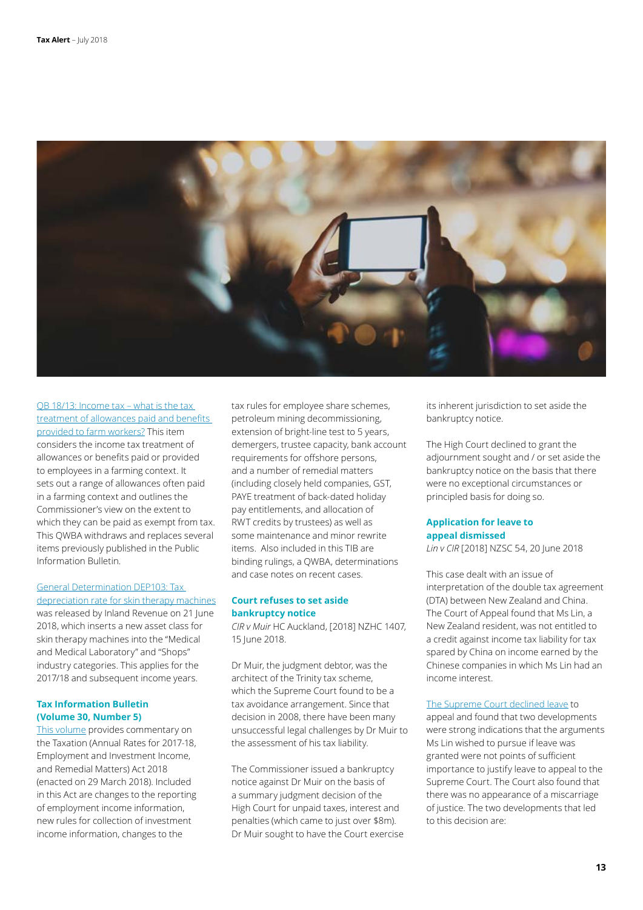

[QB 18/13: Income tax – what is the tax](http://www.ird.govt.nz/technical-tax/questions/questions-general/qwba-1813-farm-worker-allowances.html)  [treatment of allowances paid and benefits](http://www.ird.govt.nz/technical-tax/questions/questions-general/qwba-1813-farm-worker-allowances.html)  [provided to farm workers?](http://www.ird.govt.nz/technical-tax/questions/questions-general/qwba-1813-farm-worker-allowances.html) This item considers the income tax treatment of allowances or benefits paid or provided to employees in a farming context. It sets out a range of allowances often paid in a farming context and outlines the Commissioner's view on the extent to which they can be paid as exempt from tax. This QWBA withdraws and replaces several items previously published in the Public Information Bulletin.

### [General Determination DEP103: Tax](http://www.ird.govt.nz/technical-tax/determinations/depreciation/depreciation-deter-dep103.html)

[depreciation rate for skin therapy machines](http://www.ird.govt.nz/technical-tax/determinations/depreciation/depreciation-deter-dep103.html) was released by Inland Revenue on 21 June 2018, which inserts a new asset class for skin therapy machines into the "Medical and Medical Laboratory" and "Shops" industry categories. This applies for the 2017/18 and subsequent income years.

#### **Tax Information Bulletin (Volume 30, Number 5)**

[This volume](http://www.ird.govt.nz/resources/c/4/c4d9f47c-9839-4041-bec0-f3e96ecbce38/tib-vol30-no5.pdf) provides commentary on the Taxation (Annual Rates for 2017-18, Employment and Investment Income, and Remedial Matters) Act 2018 (enacted on 29 March 2018). Included in this Act are changes to the reporting of employment income information, new rules for collection of investment income information, changes to the

tax rules for employee share schemes, petroleum mining decommissioning, extension of bright-line test to 5 years, demergers, trustee capacity, bank account requirements for offshore persons, and a number of remedial matters (including closely held companies, GST, PAYE treatment of back-dated holiday pay entitlements, and allocation of RWT credits by trustees) as well as some maintenance and minor rewrite items. Also included in this TIB are binding rulings, a QWBA, determinations and case notes on recent cases.

#### **Court refuses to set aside bankruptcy notice**

*CIR v Muir* HC Auckland, [2018] NZHC 1407, 15 June 2018.

Dr Muir, the judgment debtor, was the architect of the Trinity tax scheme, which the Supreme Court found to be a tax avoidance arrangement. Since that decision in 2008, there have been many unsuccessful legal challenges by Dr Muir to the assessment of his tax liability.

The Commissioner issued a bankruptcy notice against Dr Muir on the basis of a summary judgment decision of the High Court for unpaid taxes, interest and penalties (which came to just over \$8m). Dr Muir sought to have the Court exercise its inherent jurisdiction to set aside the bankruptcy notice.

The High Court declined to grant the adjournment sought and / or set aside the bankruptcy notice on the basis that there were no exceptional circumstances or principled basis for doing so.

### **Application for leave to appeal dismissed**

*Lin v CIR* [2018] NZSC 54, 20 June 2018

This case dealt with an issue of interpretation of the double tax agreement (DTA) between New Zealand and China. The Court of Appeal found that Ms Lin, a New Zealand resident, was not entitled to a credit against income tax liability for tax spared by China on income earned by the Chinese companies in which Ms Lin had an income interest.

#### [The Supreme Court declined leave](http://www.courtsofnz.govt.nz/cases/patty-tzu-chou-lin-v-commissioner-of-inland-revenue/@@images/fileDecision?r=383.722710034) to

appeal and found that two developments were strong indications that the arguments Ms Lin wished to pursue if leave was granted were not points of sufficient importance to justify leave to appeal to the Supreme Court. The Court also found that there was no appearance of a miscarriage of justice. The two developments that led to this decision are: